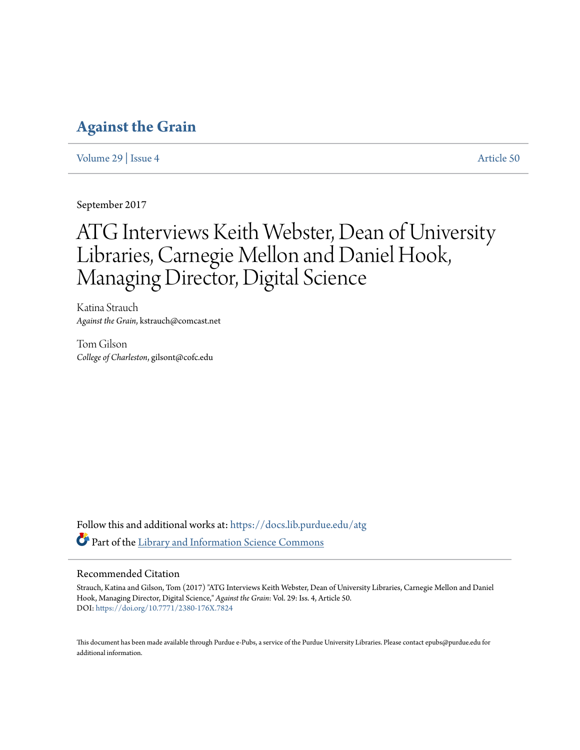# **[Against the Grain](https://docs.lib.purdue.edu/atg?utm_source=docs.lib.purdue.edu%2Fatg%2Fvol29%2Fiss4%2F50&utm_medium=PDF&utm_campaign=PDFCoverPages)**

[Volume 29](https://docs.lib.purdue.edu/atg/vol29?utm_source=docs.lib.purdue.edu%2Fatg%2Fvol29%2Fiss4%2F50&utm_medium=PDF&utm_campaign=PDFCoverPages) | [Issue 4](https://docs.lib.purdue.edu/atg/vol29/iss4?utm_source=docs.lib.purdue.edu%2Fatg%2Fvol29%2Fiss4%2F50&utm_medium=PDF&utm_campaign=PDFCoverPages) [Article 50](https://docs.lib.purdue.edu/atg/vol29/iss4/50?utm_source=docs.lib.purdue.edu%2Fatg%2Fvol29%2Fiss4%2F50&utm_medium=PDF&utm_campaign=PDFCoverPages)

September 2017

# ATG Interviews Keith Webster, Dean of University Libraries, Carnegie Mellon and Daniel Hook, Managing Director, Digital Science

Katina Strauch *Against the Grain*, kstrauch@comcast.net

Tom Gilson *College of Charleston*, gilsont@cofc.edu

Follow this and additional works at: [https://docs.lib.purdue.edu/atg](https://docs.lib.purdue.edu/atg?utm_source=docs.lib.purdue.edu%2Fatg%2Fvol29%2Fiss4%2F50&utm_medium=PDF&utm_campaign=PDFCoverPages) Part of the [Library and Information Science Commons](http://network.bepress.com/hgg/discipline/1018?utm_source=docs.lib.purdue.edu%2Fatg%2Fvol29%2Fiss4%2F50&utm_medium=PDF&utm_campaign=PDFCoverPages)

# Recommended Citation

Strauch, Katina and Gilson, Tom (2017) "ATG Interviews Keith Webster, Dean of University Libraries, Carnegie Mellon and Daniel Hook, Managing Director, Digital Science," *Against the Grain*: Vol. 29: Iss. 4, Article 50. DOI: <https://doi.org/10.7771/2380-176X.7824>

This document has been made available through Purdue e-Pubs, a service of the Purdue University Libraries. Please contact epubs@purdue.edu for additional information.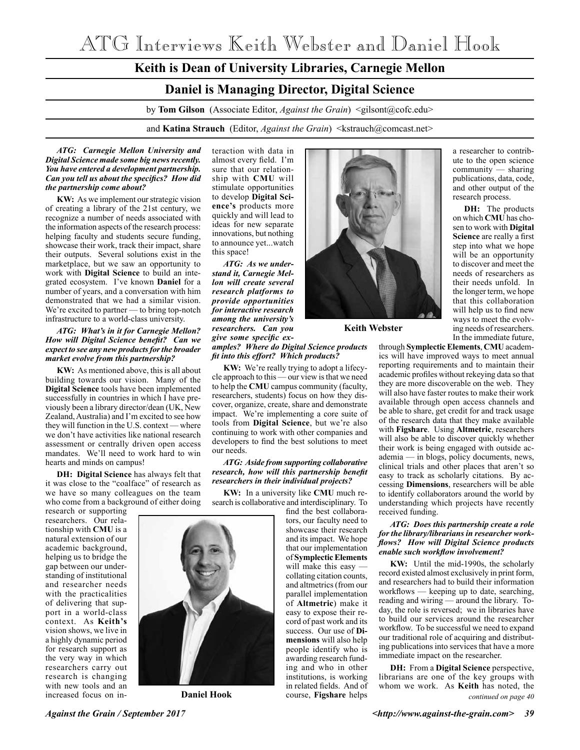ATG Interviews Keith Webster and Daniel Hook

# **Keith is Dean of University Libraries, Carnegie Mellon Daniel is Managing Director, Digital Science** by **Tom Gilson** (Associate Editor, *Against the Grain*) <gilsont@cofc.edu> and **Katina Strauch** (Editor, *Against the Grain*) <kstrauch@comcast.net>

#### *ATG: Carnegie Mellon University and Digital Science made some big news recently. You have entered a development partnership. Can you tell us about the specifics? How did the partnership come about?*

**KW:** As we implement our strategic vision of creating a library of the 21st century, we recognize a number of needs associated with the information aspects of the research process: helping faculty and students secure funding, showcase their work, track their impact, share their outputs. Several solutions exist in the marketplace, but we saw an opportunity to work with **Digital Science** to build an integrated ecosystem. I've known **Daniel** for a number of years, and a conversation with him demonstrated that we had a similar vision. We're excited to partner — to bring top-notch infrastructure to a world-class university.

#### *ATG: What's in it for Carnegie Mellon? How will Digital Science benefit? Can we expect to see any new products for the broader market evolve from this partnership?*

**KW:** As mentioned above, this is all about building towards our vision. Many of the **Digital Science** tools have been implemented successfully in countries in which I have previously been a library director/dean (UK, New Zealand, Australia) and I'm excited to see how they will function in the U.S. context — where we don't have activities like national research assessment or centrally driven open access mandates. We'll need to work hard to win hearts and minds on campus!

**DH: Digital Science** has always felt that it was close to the "coalface" of research as we have so many colleagues on the team who come from a background of either doing

research or supporting researchers. Our relationship with **CMU** is a natural extension of our academic background, helping us to bridge the gap between our understanding of institutional and researcher needs with the practicalities of delivering that support in a world-class context. As **Keith's** vision shows, we live in a highly dynamic period for research support as the very way in which researchers carry out research is changing with new tools and an increased focus on in-

teraction with data in almost every field. I'm sure that our relationship with **CMU** will stimulate opportunities to develop **Digital Science's** products more quickly and will lead to ideas for new separate innovations, but nothing to announce yet...watch this space!

*ATG: As we understand it, Carnegie Mellon will create several research platforms to provide opportunities for interactive research among the university's researchers. Can you give some specific ex-*

# *amples? Where do Digital Science products fit into this effort? Which products?*

**KW:** We're really trying to adopt a lifecycle approach to this — our view is that we need to help the **CMU** campus community (faculty, researchers, students) focus on how they discover, organize, create, share and demonstrate impact. We're implementing a core suite of tools from **Digital Science**, but we're also continuing to work with other companies and developers to find the best solutions to meet our needs.

#### *ATG: Aside from supporting collaborative research, how will this partnership benefit researchers in their individual projects?*

**KW:** In a university like **CMU** much research is collaborative and interdisciplinary. To

find the best collaborators, our faculty need to showcase their research and its impact. We hope that our implementation of **Symplectic Elements** will make this easy collating citation counts, and altmetrics (from our parallel implementation of **Altmetric**) make it easy to expose their record of past work and its success. Our use of **Dimensions** will also help people identify who is awarding research funding and who in other institutions, is working in related fields. And of course, **Figshare** helps



**Keith Webster**

a researcher to contribute to the open science community — sharing publications, data, code, and other output of the research process.

**DH:** The products on which **CMU** has chosen to work with **Digital Science** are really a first step into what we hope will be an opportunity to discover and meet the needs of researchers as their needs unfold. In the longer term, we hope that this collaboration will help us to find new ways to meet the evolving needs of researchers. In the immediate future,

through **Symplectic Elements**, **CMU** academics will have improved ways to meet annual reporting requirements and to maintain their academic profiles without rekeying data so that they are more discoverable on the web. They will also have faster routes to make their work available through open access channels and be able to share, get credit for and track usage of the research data that they make available with **Figshare**. Using **Altmetric**, researchers will also be able to discover quickly whether their work is being engaged with outside academia — in blogs, policy documents, news, clinical trials and other places that aren't so easy to track as scholarly citations. By accessing **Dimensions**, researchers will be able to identify collaborators around the world by understanding which projects have recently received funding.

#### *ATG: Does this partnership create a role for the library/librarians in researcher workflows? How will Digital Science products enable such workflow involvement?*

**KW:** Until the mid-1990s, the scholarly record existed almost exclusively in print form, and researchers had to build their information workflows — keeping up to date, searching, reading and wiring — around the library. Today, the role is reversed; we in libraries have to build our services around the researcher workflow. To be successful we need to expand our traditional role of acquiring and distributing publications into services that have a more immediate impact on the researcher.

*continued on page 40* **DH:** From a **Digital Science** perspective, librarians are one of the key groups with whom we work. As **Keith** has noted, the